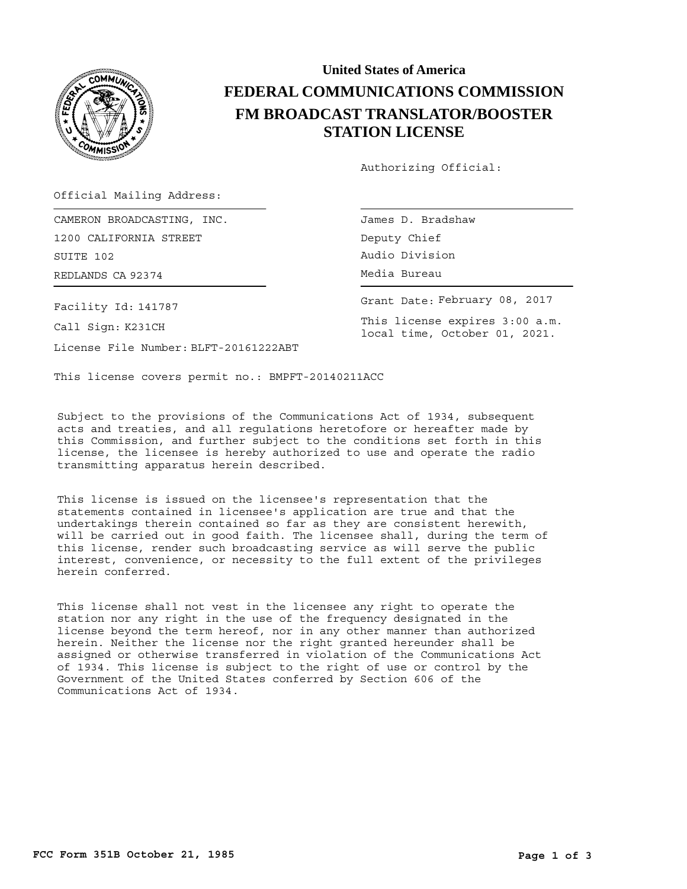

## **United States of America FEDERAL COMMUNICATIONS COMMISSION FM BROADCAST TRANSLATOR/BOOSTER STATION LICENSE**

Authorizing Official:

Official Mailing Address:

REDLANDS CA 92374 CHA CONTROL CONTROLLER Media Bureau CAMERON BROADCASTING, INC. 1200 CALIFORNIA STREET SUITE 102

Facility Id: 141787

Call Sign: K231CH

License File Number: BLFT-20161222ABT

James D. Bradshaw Deputy Chief Audio Division

Grant Date: February 08, 2017

This license expires 3:00 a.m. local time, October 01, 2021.

This license covers permit no.: BMPFT-20140211ACC

Subject to the provisions of the Communications Act of 1934, subsequent acts and treaties, and all regulations heretofore or hereafter made by this Commission, and further subject to the conditions set forth in this license, the licensee is hereby authorized to use and operate the radio transmitting apparatus herein described.

This license is issued on the licensee's representation that the statements contained in licensee's application are true and that the undertakings therein contained so far as they are consistent herewith, will be carried out in good faith. The licensee shall, during the term of this license, render such broadcasting service as will serve the public interest, convenience, or necessity to the full extent of the privileges herein conferred.

This license shall not vest in the licensee any right to operate the station nor any right in the use of the frequency designated in the license beyond the term hereof, nor in any other manner than authorized herein. Neither the license nor the right granted hereunder shall be assigned or otherwise transferred in violation of the Communications Act of 1934. This license is subject to the right of use or control by the Government of the United States conferred by Section 606 of the Communications Act of 1934.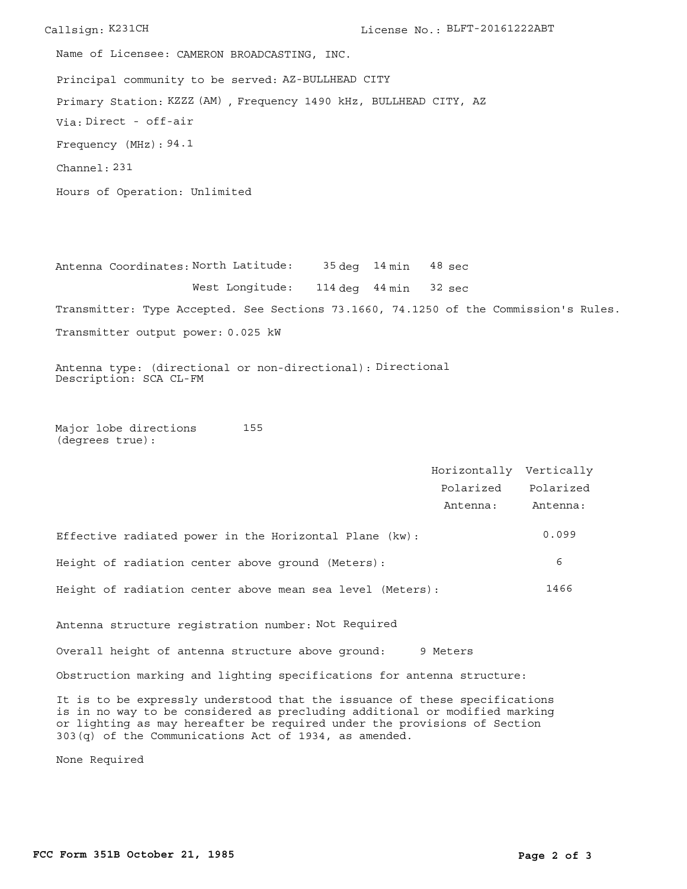Callsign: K231CH License No.: BLFT-20161222ABT Principal community to be served: AZ-BULLHEAD CITY Hours of Operation: Unlimited Frequency (MHz): 94.1 Via: Direct - off-air Primary Station: KZZZ (AM), Frequency 1490 kHz, BULLHEAD CITY, AZ Channel: 231 Name of Licensee: CAMERON BROADCASTING, INC.

Antenna Coordinates: North Latitude: 35 deg 14 min West Longitude: 114 deg 44 min 32 sec Transmitter: Type Accepted. See Sections 73.1660, 74.1250 of the Commission's Rules. Transmitter output power: 0.025 kW 48 sec

Antenna type: (directional or non-directional): Directional Description: SCA CL-FM

Major lobe directions (degrees true): 155

Horizontally Vertically Polarized Polarized Antenna: Antenna: Effective radiated power in the Horizontal Plane (kw): 0.099 Height of radiation center above ground (Meters): 6 Height of radiation center above mean sea level (Meters): 1466 Antenna structure registration number: Not Required Overall height of antenna structure above ground: 9 Meters Obstruction marking and lighting specifications for antenna structure: It is to be expressly understood that the issuance of these specifications is in no way to be considered as precluding additional or modified marking

or lighting as may hereafter be required under the provisions of Section

303(q) of the Communications Act of 1934, as amended.

None Required